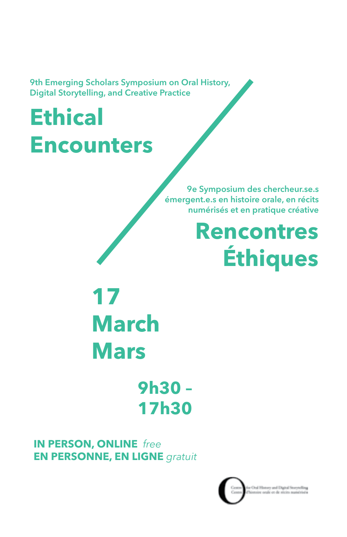9th Emerging Scholars Symposium on Oral History, Digital Storytelling, and Creative Practice

# **Ethical Encounters**

9e Symposium des chercheur.se.s émergent.e.s en histoire orale, en récits numérisés et en pratique créative

## **Rencontres Éthiques**

**17 March Mars**

> **9h30 – 17h30**

**IN PERSON, [ONLINE](https://concordia-ca.zoom.us/meeting/register/tZ0pceippz4rGtPGK6oDQt0KN-_sKJ3IA-JK)** *free*  **EN PERSONNE, [EN LIGNE](https://concordia-ca.zoom.us/meeting/register/tZ0pceippz4rGtPGK6oDQt0KN-_sKJ3IA-JK)** *gratuit*

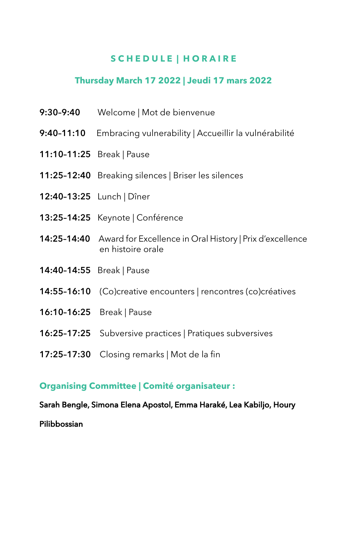#### **S C H E D U L E | H O R A I R E**

#### **Thursday March 17 2022 | Jeudi 17 mars 2022**

- 9:30–9:40 Welcome | Mot de bienvenue
- 9:40-11:10 Embracing vulnerability | Accueillir la vulnérabilité
- 11:10–11:25 Break | Pause
- 11:25–12:40 Breaking silences | Briser les silences
- 12:40–13:25 Lunch | Dîner
- 13:25–14:25 Keynote | Conférence
- 14:25–14:40 Award for Excellence in Oral History | Prix d'excellence en histoire orale
- 14:40–14:55 Break | Pause
- 14:55–16:10 (Co)creative encounters | rencontres (co)créatives
- 16:10–16:25 Break | Pause
- 16:25–17:25 Subversive practices | Pratiques subversives
- 17:25–17:30 Closing remarks | Mot de la fin

#### **Organising Committee | Comité organisateur :**

Sarah Bengle, Simona Elena Apostol, Emma Haraké, Lea Kabiljo, Houry

Pilibbossian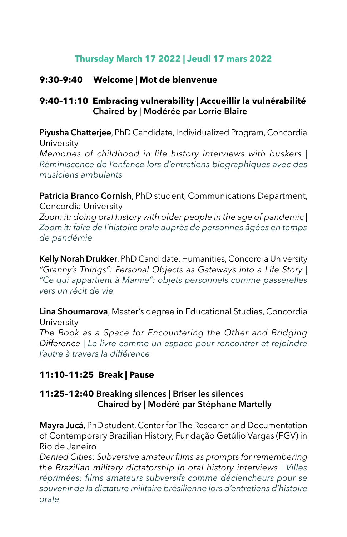#### **Thursday March 17 2022 | Jeudi 17 mars 2022**

#### **9:30–9:40 Welcome | Mot de bienvenue**

#### **9:40–11:10 Embracing vulnerability | Accueillir la vulnérabilité** Chaired by | Modérée par Lorrie Blaire

Piyusha Chatterjee, PhD Candidate, Individualized Program, Concordia University *Memories of childhood in life history interviews with buskers | Réminiscence de l'enfance lors d'entretiens biographiques avec des musiciens ambulants*

Patricia Branco Cornish, PhD student, Communications Department, Concordia University

*Zoom it: doing oral history with older people in the age of pandemic | Zoom it: faire de l'histoire orale auprès de personnes âgées en temps de pandémie*

Kelly Norah Drukker, PhD Candidate, Humanities, Concordia University *"Granny's Things": Personal Objects as Gateways into a Life Story | "Ce qui appartient à Mamie": objets personnels comme passerelles vers un récit de vie*

Lina Shoumarova, Master's degree in Educational Studies, Concordia University

*The Book as a Space for Encountering the Other and Bridging Difference | Le livre comme un espace pour rencontrer et rejoindre l'autre à travers la différence*

#### **11:10–11:25 Break | Pause**

#### **11:25–12:40** Breaking silences | Briser les silences Chaired by | Modéré par Stéphane Martelly

Mayra Jucá, PhD student, Center for The Research and Documentation of Contemporary Brazilian History, Fundação Getúlio Vargas (FGV) in Rio de Janeiro

*Denied Cities: Subversive amateur films as prompts for remembering the Brazilian military dictatorship in oral history interviews | Villes réprimées: films amateurs subversifs comme déclencheurs pour se souvenir de la dictature militaire brésilienne lors d'entretiens d'histoire orale*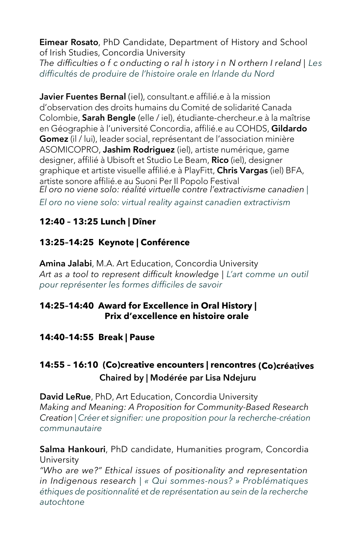Eimear Rosato, PhD Candidate, Department of History and School of Irish Studies, Concordia University

*The difficulties o f c onducting o ral h istory i n N orthern I reland | Les difficultés de produire de l'histoire orale en Irlande du Nord*

Javier Fuentes Bernal (iel), consultant e affilié e à la mission d'observation des droits humains du Comité de solidarité Canada Colombie, Sarah Bengle (elle / iel), étudiante-chercheur.e à la maîtrise en Géographie à l'université Concordia, affilié.e au COHDS, Gildardo Gomez (il / lui), leader social, représentant de l'association minière ASOMICOPRO, Jashim Rodriguez (iel), artiste numérique, game designer, affilié à Ubisoft et Studio Le Beam, Rico (iel), designer graphique et artiste visuelle affilié.e à PlayFitt, Chris Vargas (iel) BFA, artiste sonore affilié.e au Suoni Per Il Popolo Festival *El oro no viene solo: réalité virtuelle contre l'extractivisme canadien |* 

*El oro no viene solo: virtual reality against canadien extractivism*

## **12:40 – 13:25 Lunch | Dîner**

## **13:25–14:25 Keynote | Conférence**

Amina Jalabi, M.A. Art Education, Concordia University *Art as a tool to represent difficult knowledge | L'art comme un outil pour représenter les formes difficiles de savoir*

#### **14:25–14:40 Award for Excellence in Oral History | Prix d'excellence en histoire orale**

**14:40–14:55 Break | Pause**

### **14:55 – 16:10 (Co)creative encounters | rencontres (Co)créa**t**ives** Chaired by | Modérée par Lisa Ndejuru

David LeRue, PhD, Art Education, Concordia University *Making and Meaning: A Proposition for Community-Based Research Creation | Créer et signifier: une proposition pour la recherche-création communautaire*

Salma Hankouri, PhD candidate, Humanities program, Concordia University

*"Who are we?" Ethical issues of positionality and representation in Indigenous research | « Qui sommes-nous? » Problématiques éthiques de positionnalité et de représentation au sein de la recherche autochtone*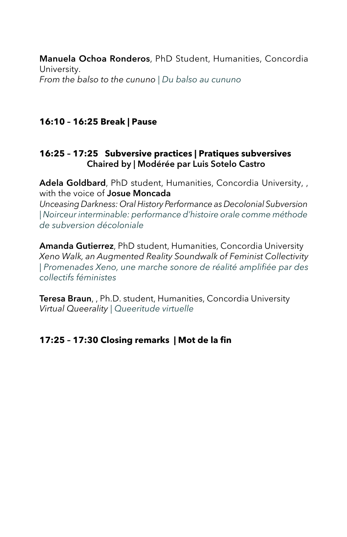Manuela Ochoa Ronderos, PhD Student, Humanities, Concordia University. *From the balso to the cununo | Du balso au cununo*

#### **16:10 – 16:25 Break | Pause**

#### **16:25 – 17:25 Subversive practices | Pratiques subversives** Chaired by | Modérée par Luis Sotelo Castro

Adela Goldbard, PhD student, Humanities, Concordia University, , with the voice of **Josue Moncada** 

*Unceasing Darkness: Oral History Performance as Decolonial Subversion | Noirceur interminable: performance d'histoire orale comme méthode de subversion décoloniale*

Amanda Gutierrez, PhD student, Humanities, Concordia University *Xeno Walk, an Augmented Reality Soundwalk of Feminist Collectivity | Promenades Xeno, une marche sonore de réalité amplifiée par des collectifs féministes*

Teresa Braun,, Ph.D. student, Humanities, Concordia University *Virtual Queerality | Queeritude virtuelle* 

#### **17:25 – 17:30 Closing remarks | Mot de la fin**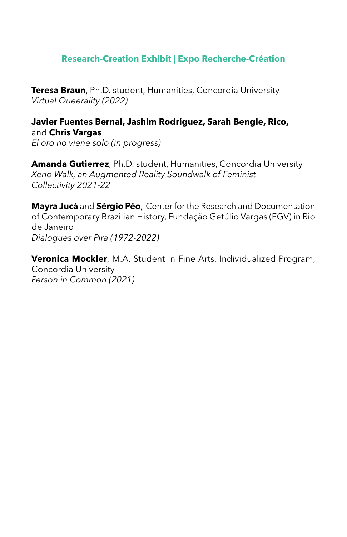#### **Research-Creation Exhibit | Expo Recherche-Création**

**Teresa Braun**, Ph.D. student, Humanities, Concordia University *Virtual Queerality (2022)*

**Javier Fuentes Bernal, Jashim Rodriguez, Sarah Bengle, Rico,**  and **Chris Vargas**  *El oro no viene solo (in progress)*

**Amanda Gutierrez**, Ph.D. student, Humanities, Concordia University *Xeno Walk, an Augmented Reality Soundwalk of Feminist Collectivity 2021-22*

**Mayra Jucá** and **Sérgio Péo**, Center for the Research and Documentation of Contemporary Brazilian History, Fundação Getúlio Vargas (FGV) in Rio de Janeiro *Dialogues over Pira (1972-2022)*

**Veronica Mockler**, M.A. Student in Fine Arts, Individualized Program, Concordia University *Person in Common (2021)*